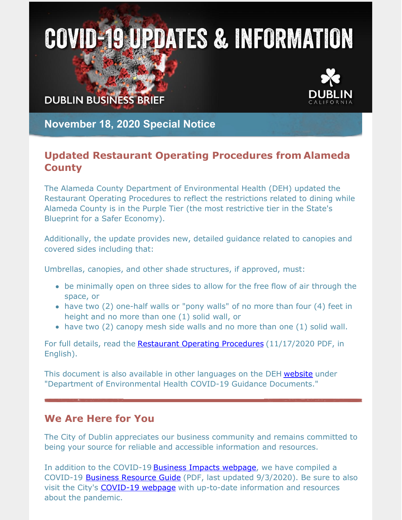## **COVID-19 UPDATES & INFORMATION**

**DUBLIN BUSINESS BRIEF** 



**November 18, 2020 Special Notice**

## **Updated Restaurant Operating Procedures from Alameda County**

The Alameda County Department of Environmental Health (DEH) updated the Restaurant Operating Procedures to reflect the restrictions related to dining while Alameda County is in the Purple Tier (the most restrictive tier in the State's Blueprint for a Safer Economy).

Additionally, the update provides new, detailed guidance related to canopies and covered sides including that:

Umbrellas, canopies, and other shade structures, if approved, must:

- be minimally open on three sides to allow for the free flow of air through the space, or
- have two (2) one-half walls or "pony walls" of no more than four (4) feet in height and no more than one (1) solid wall, or
- have two (2) canopy mesh side walls and no more than one (1) solid wall.

For full details, read the [Restaurant](https://deh.acgov.org/deh-assets/docs/AlcoRestaurantOperatingProcedures.pdf) Operating Procedures (11/17/2020 PDF, in English).

This document is also available in other languages on the DEH [website](https://deh.acgov.org/covid-19.page) under "Department of Environmental Health COVID-19 Guidance Documents."

## **We Are Here for You**

The City of Dublin appreciates our business community and remains committed to being your source for reliable and accessible information and resources.

In addition to the COVID-19 Business Impacts [webpage](https://www.dublin.ca.gov/2177/COVID-19-Business-Impacts), we have compiled a COVID-19 Business [Resource](https://www.dublin.ca.gov/DocumentCenter/View/22168) Guide (PDF, last updated 9/3/2020). Be sure to also visit the City's **[COVID-19](https://www.dublin.ca.gov/coronavirus) webpage** with up-to-date information and resources about the pandemic.